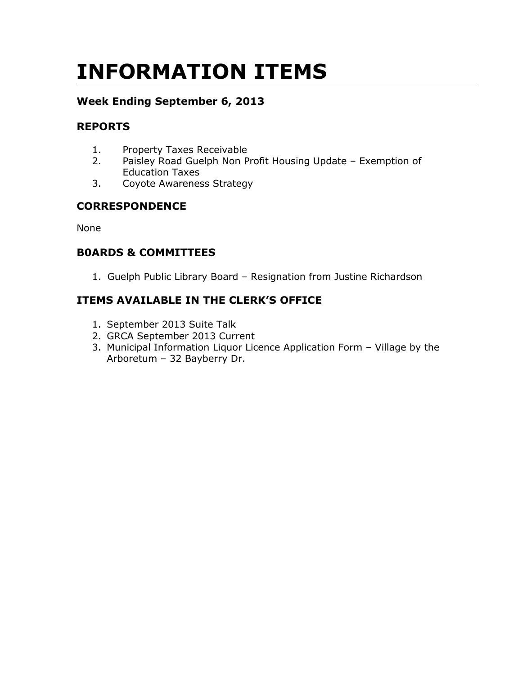# INFORMATION ITEMS

# Week Ending September 6, 2013

# REPORTS

- 1. Property Taxes Receivable
- 2. Paisley Road Guelph Non Profit Housing Update Exemption of Education Taxes
- 3. Coyote Awareness Strategy

# **CORRESPONDENCE**

None

# B0ARDS & COMMITTEES

1. Guelph Public Library Board – Resignation from Justine Richardson

# ITEMS AVAILABLE IN THE CLERK'S OFFICE

- 1. September 2013 Suite Talk
- 2. GRCA September 2013 Current
- 3. Municipal Information Liquor Licence Application Form Village by the Arboretum – 32 Bayberry Dr.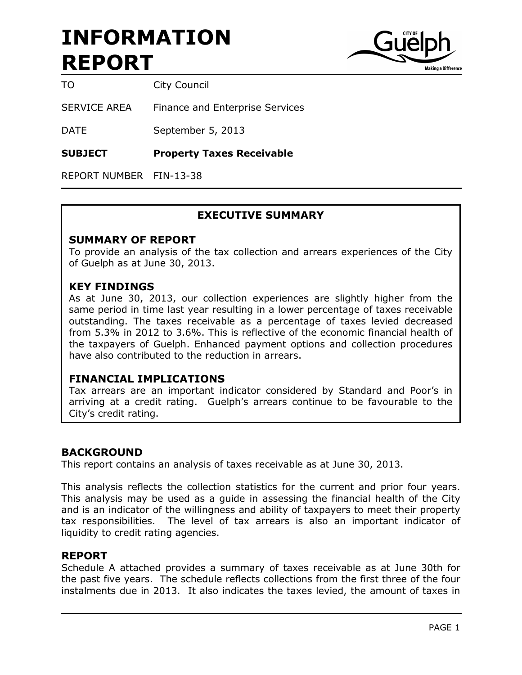

TO City Council

SERVICE AREA Finance and Enterprise Services

DATE September 5, 2013

SUBJECT Property Taxes Receivable

REPORT NUMBER FIN-13-38

## EXECUTIVE SUMMARY

#### SUMMARY OF REPORT

To provide an analysis of the tax collection and arrears experiences of the City of Guelph as at June 30, 2013.

#### KEY FINDINGS

As at June 30, 2013, our collection experiences are slightly higher from the same period in time last year resulting in a lower percentage of taxes receivable outstanding. The taxes receivable as a percentage of taxes levied decreased from 5.3% in 2012 to 3.6%. This is reflective of the economic financial health of the taxpayers of Guelph. Enhanced payment options and collection procedures have also contributed to the reduction in arrears.

#### FINANCIAL IMPLICATIONS

Tax arrears are an important indicator considered by Standard and Poor's in arriving at a credit rating. Guelph's arrears continue to be favourable to the City's credit rating.

#### BACKGROUND

This report contains an analysis of taxes receivable as at June 30, 2013.

This analysis reflects the collection statistics for the current and prior four years. This analysis may be used as a guide in assessing the financial health of the City and is an indicator of the willingness and ability of taxpayers to meet their property tax responsibilities. The level of tax arrears is also an important indicator of liquidity to credit rating agencies.

#### REPORT

Schedule A attached provides a summary of taxes receivable as at June 30th for the past five years. The schedule reflects collections from the first three of the four instalments due in 2013. It also indicates the taxes levied, the amount of taxes in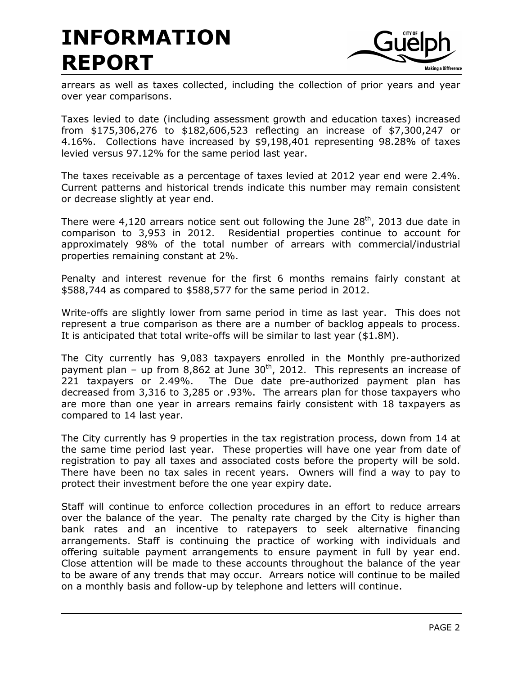

arrears as well as taxes collected, including the collection of prior years and year over year comparisons.

Taxes levied to date (including assessment growth and education taxes) increased from \$175,306,276 to \$182,606,523 reflecting an increase of \$7,300,247 or 4.16%. Collections have increased by \$9,198,401 representing 98.28% of taxes levied versus 97.12% for the same period last year.

The taxes receivable as a percentage of taxes levied at 2012 year end were 2.4%. Current patterns and historical trends indicate this number may remain consistent or decrease slightly at year end.

There were  $4,120$  arrears notice sent out following the June  $28<sup>th</sup>$ , 2013 due date in comparison to 3,953 in 2012. Residential properties continue to account for approximately 98% of the total number of arrears with commercial/industrial properties remaining constant at 2%.

Penalty and interest revenue for the first 6 months remains fairly constant at \$588,744 as compared to \$588,577 for the same period in 2012.

Write-offs are slightly lower from same period in time as last year. This does not represent a true comparison as there are a number of backlog appeals to process. It is anticipated that total write-offs will be similar to last year (\$1.8M).

The City currently has 9,083 taxpayers enrolled in the Monthly pre-authorized payment plan – up from 8,862 at June  $30<sup>th</sup>$ , 2012. This represents an increase of 221 taxpayers or 2.49%. The Due date pre-authorized payment plan has decreased from 3,316 to 3,285 or .93%. The arrears plan for those taxpayers who are more than one year in arrears remains fairly consistent with 18 taxpayers as compared to 14 last year.

The City currently has 9 properties in the tax registration process, down from 14 at the same time period last year. These properties will have one year from date of registration to pay all taxes and associated costs before the property will be sold. There have been no tax sales in recent years. Owners will find a way to pay to protect their investment before the one year expiry date.

Staff will continue to enforce collection procedures in an effort to reduce arrears over the balance of the year. The penalty rate charged by the City is higher than bank rates and an incentive to ratepayers to seek alternative financing arrangements. Staff is continuing the practice of working with individuals and offering suitable payment arrangements to ensure payment in full by year end. Close attention will be made to these accounts throughout the balance of the year to be aware of any trends that may occur. Arrears notice will continue to be mailed on a monthly basis and follow-up by telephone and letters will continue.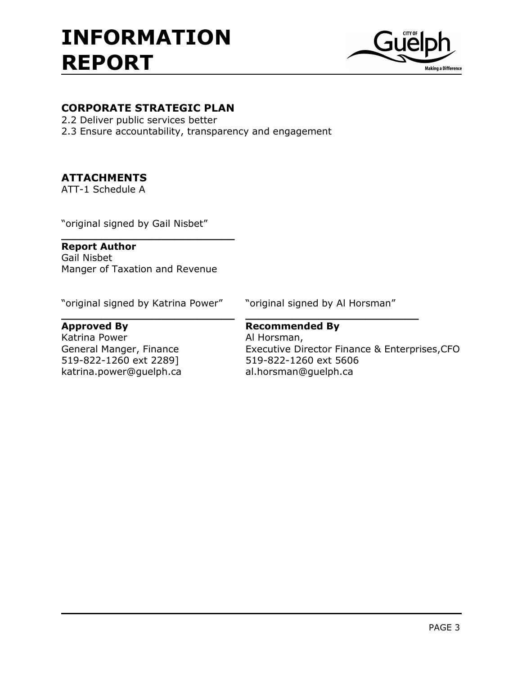

# CORPORATE STRATEGIC PLAN

- 2.2 Deliver public services better
- 2.3 Ensure accountability, transparency and engagement

# ATTACHMENTS

ATT-1 Schedule A

"original signed by Gail Nisbet"

#### Report Author

Gail Nisbet Manger of Taxation and Revenue

\_\_\_\_\_\_\_\_\_\_\_\_\_\_\_\_\_\_\_\_\_\_\_\_\_\_

"original signed by Katrina Power" "original signed by Al Horsman"

Katrina Power **Al Horsman**, 519-822-1260 ext 2289] 519-822-1260 ext 5606 katrina.power@guelph.ca al.horsman@guelph.ca

# $\overline{\phantom{a}}$  , and the contract of the contract of the contract of the contract of the contract of the contract of the contract of the contract of the contract of the contract of the contract of the contract of the contrac Approved By **Recommended By**

General Manger, Finance **Executive Director Finance & Enterprises, CFO**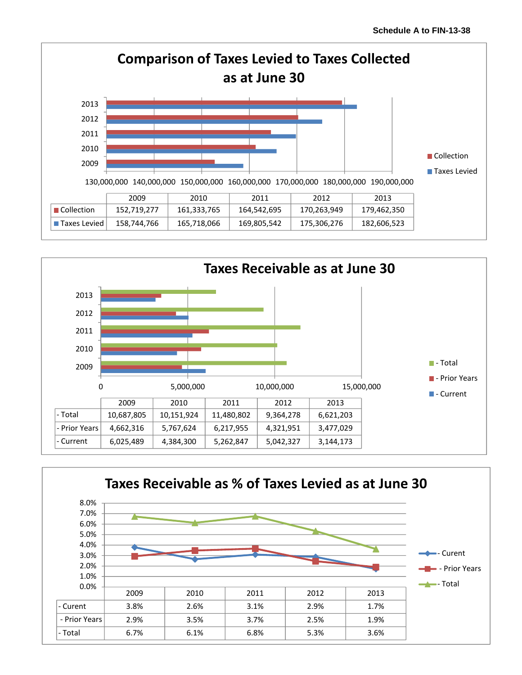



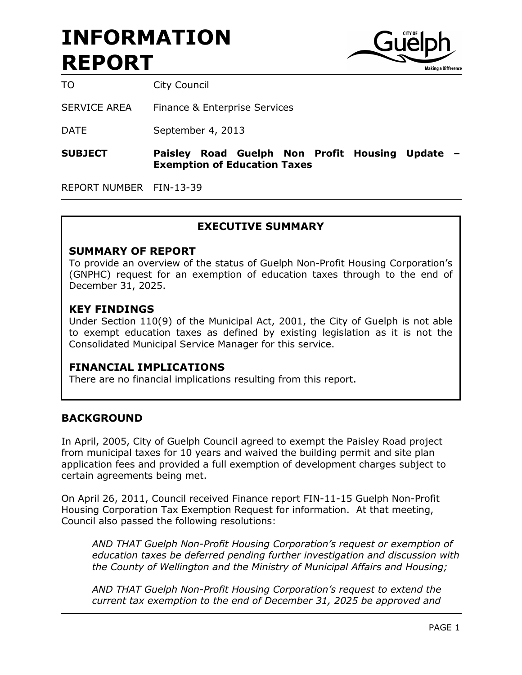

TO City Council

SERVICE AREA Finance & Enterprise Services

DATE September 4, 2013

#### SUBJECT Paisley Road Guelph Non Profit Housing Update – Exemption of Education Taxes

REPORT NUMBER FIN-13-39

# EXECUTIVE SUMMARY

#### SUMMARY OF REPORT

To provide an overview of the status of Guelph Non-Profit Housing Corporation's (GNPHC) request for an exemption of education taxes through to the end of December 31, 2025.

#### KEY FINDINGS

Under Section 110(9) of the Municipal Act, 2001, the City of Guelph is not able to exempt education taxes as defined by existing legislation as it is not the Consolidated Municipal Service Manager for this service.

## FINANCIAL IMPLICATIONS

There are no financial implications resulting from this report.

#### BACKGROUND

In April, 2005, City of Guelph Council agreed to exempt the Paisley Road project from municipal taxes for 10 years and waived the building permit and site plan application fees and provided a full exemption of development charges subject to certain agreements being met.

On April 26, 2011, Council received Finance report FIN-11-15 Guelph Non-Profit Housing Corporation Tax Exemption Request for information. At that meeting, Council also passed the following resolutions:

AND THAT Guelph Non-Profit Housing Corporation's request or exemption of education taxes be deferred pending further investigation and discussion with the County of Wellington and the Ministry of Municipal Affairs and Housing;

AND THAT Guelph Non-Profit Housing Corporation's request to extend the current tax exemption to the end of December 31, 2025 be approved and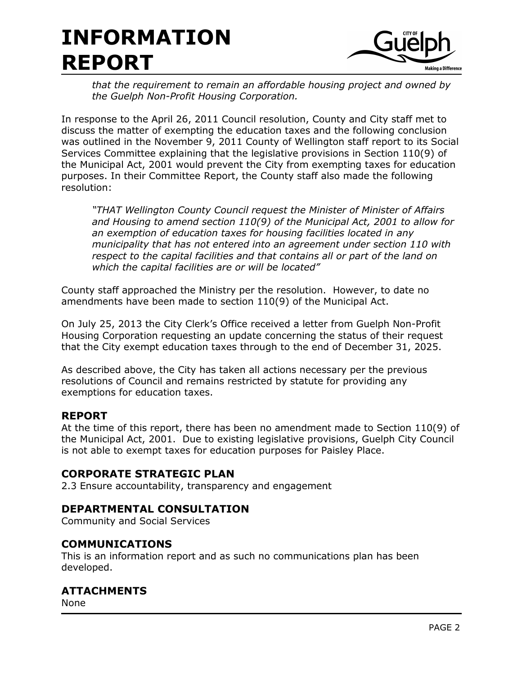

that the requirement to remain an affordable housing project and owned by the Guelph Non-Profit Housing Corporation.

In response to the April 26, 2011 Council resolution, County and City staff met to discuss the matter of exempting the education taxes and the following conclusion was outlined in the November 9, 2011 County of Wellington staff report to its Social Services Committee explaining that the legislative provisions in Section 110(9) of the Municipal Act, 2001 would prevent the City from exempting taxes for education purposes. In their Committee Report, the County staff also made the following resolution:

"THAT Wellington County Council request the Minister of Minister of Affairs and Housing to amend section 110(9) of the Municipal Act, 2001 to allow for an exemption of education taxes for housing facilities located in any municipality that has not entered into an agreement under section 110 with respect to the capital facilities and that contains all or part of the land on which the capital facilities are or will be located"

County staff approached the Ministry per the resolution. However, to date no amendments have been made to section 110(9) of the Municipal Act.

On July 25, 2013 the City Clerk's Office received a letter from Guelph Non-Profit Housing Corporation requesting an update concerning the status of their request that the City exempt education taxes through to the end of December 31, 2025.

As described above, the City has taken all actions necessary per the previous resolutions of Council and remains restricted by statute for providing any exemptions for education taxes.

## REPORT

At the time of this report, there has been no amendment made to Section 110(9) of the Municipal Act, 2001. Due to existing legislative provisions, Guelph City Council is not able to exempt taxes for education purposes for Paisley Place.

## CORPORATE STRATEGIC PLAN

2.3 Ensure accountability, transparency and engagement

## DEPARTMENTAL CONSULTATION

Community and Social Services

## COMMUNICATIONS

This is an information report and as such no communications plan has been developed.

# ATTACHMENTS

None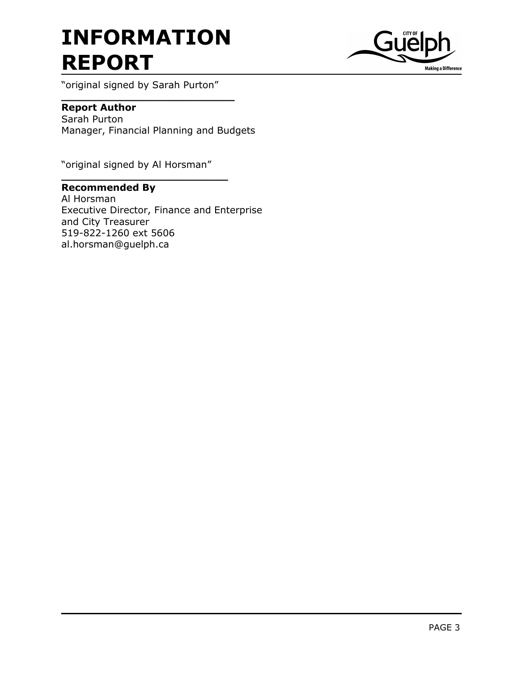\_\_\_\_\_\_\_\_\_\_\_\_\_\_\_\_\_\_\_\_\_\_\_\_\_\_



"original signed by Sarah Purton"

# Report Author

Sarah Purton Manager, Financial Planning and Budgets

"original signed by Al Horsman"

 $\overline{\phantom{a}}$  , and the set of the set of the set of the set of the set of the set of the set of the set of the set of the set of the set of the set of the set of the set of the set of the set of the set of the set of the s

# Recommended By

Al Horsman Executive Director, Finance and Enterprise and City Treasurer 519-822-1260 ext 5606 al.horsman@guelph.ca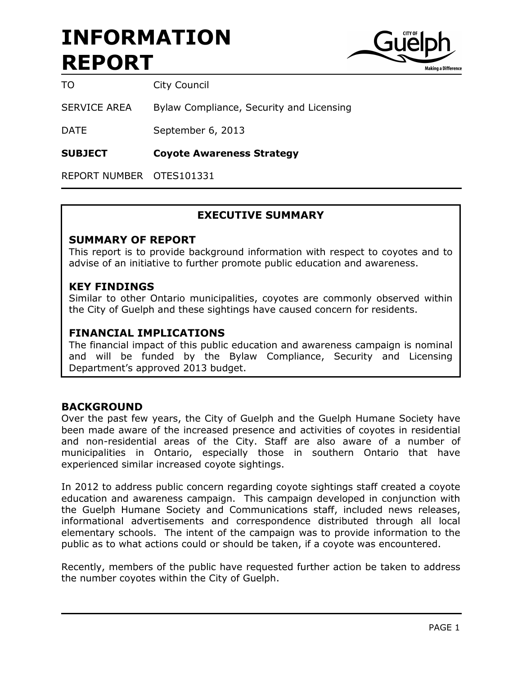

TO City Council

SERVICE AREA Bylaw Compliance, Security and Licensing

DATE September 6, 2013

SUBJECT Coyote Awareness Strategy

REPORT NUMBER OTES101331

## EXECUTIVE SUMMARY

#### SUMMARY OF REPORT

This report is to provide background information with respect to coyotes and to advise of an initiative to further promote public education and awareness.

#### KEY FINDINGS

Similar to other Ontario municipalities, coyotes are commonly observed within the City of Guelph and these sightings have caused concern for residents.

### FINANCIAL IMPLICATIONS

The financial impact of this public education and awareness campaign is nominal and will be funded by the Bylaw Compliance, Security and Licensing Department's approved 2013 budget.

#### BACKGROUND

Over the past few years, the City of Guelph and the Guelph Humane Society have been made aware of the increased presence and activities of coyotes in residential and non-residential areas of the City. Staff are also aware of a number of municipalities in Ontario, especially those in southern Ontario that have experienced similar increased coyote sightings.

In 2012 to address public concern regarding coyote sightings staff created a coyote education and awareness campaign. This campaign developed in conjunction with the Guelph Humane Society and Communications staff, included news releases, informational advertisements and correspondence distributed through all local elementary schools. The intent of the campaign was to provide information to the public as to what actions could or should be taken, if a coyote was encountered.

Recently, members of the public have requested further action be taken to address the number coyotes within the City of Guelph.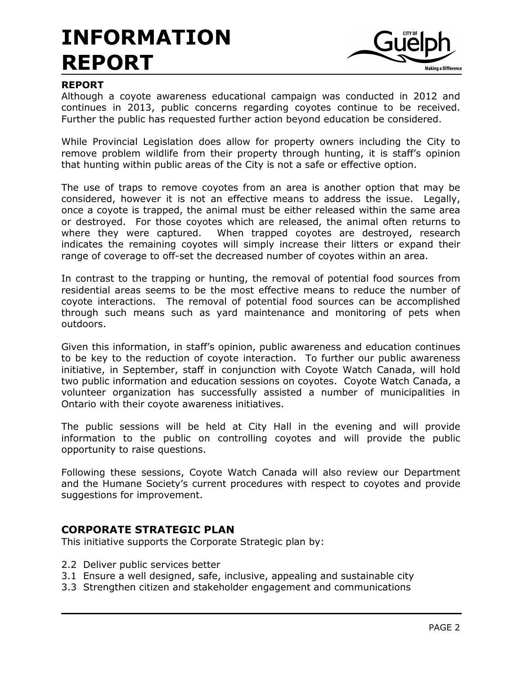

## REPORT

Although a coyote awareness educational campaign was conducted in 2012 and continues in 2013, public concerns regarding coyotes continue to be received. Further the public has requested further action beyond education be considered.

While Provincial Legislation does allow for property owners including the City to remove problem wildlife from their property through hunting, it is staff's opinion that hunting within public areas of the City is not a safe or effective option.

The use of traps to remove coyotes from an area is another option that may be considered, however it is not an effective means to address the issue. Legally, once a coyote is trapped, the animal must be either released within the same area or destroyed. For those coyotes which are released, the animal often returns to where they were captured. When trapped coyotes are destroyed, research indicates the remaining coyotes will simply increase their litters or expand their range of coverage to off-set the decreased number of coyotes within an area.

In contrast to the trapping or hunting, the removal of potential food sources from residential areas seems to be the most effective means to reduce the number of coyote interactions. The removal of potential food sources can be accomplished through such means such as yard maintenance and monitoring of pets when outdoors.

Given this information, in staff's opinion, public awareness and education continues to be key to the reduction of coyote interaction. To further our public awareness initiative, in September, staff in conjunction with Coyote Watch Canada, will hold two public information and education sessions on coyotes. Coyote Watch Canada, a volunteer organization has successfully assisted a number of municipalities in Ontario with their coyote awareness initiatives.

The public sessions will be held at City Hall in the evening and will provide information to the public on controlling coyotes and will provide the public opportunity to raise questions.

Following these sessions, Coyote Watch Canada will also review our Department and the Humane Society's current procedures with respect to coyotes and provide suggestions for improvement.

## CORPORATE STRATEGIC PLAN

This initiative supports the Corporate Strategic plan by:

- 2.2 Deliver public services better
- 3.1 Ensure a well designed, safe, inclusive, appealing and sustainable city
- 3.3 Strengthen citizen and stakeholder engagement and communications